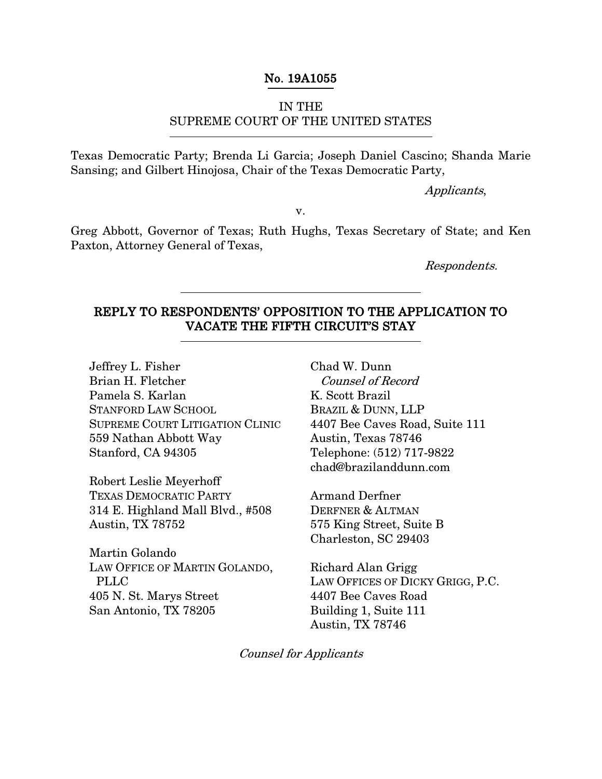### No. 19A1055

### IN THE

### SUPREME COURT OF THE UNITED STATES

Texas Democratic Party; Brenda Li Garcia; Joseph Daniel Cascino; Shanda Marie Sansing; and Gilbert Hinojosa, Chair of the Texas Democratic Party,

Applicants,

v.

Greg Abbott, Governor of Texas; Ruth Hughs, Texas Secretary of State; and Ken Paxton, Attorney General of Texas,

Respondents.

## REPLY TO RESPONDENTS' OPPOSITION TO THE APPLICATION TO VACATE THE FIFTH CIRCUIT'S STAY

Jeffrey L. Fisher Brian H. Fletcher Pamela S. Karlan STANFORD LAW SCHOOL SUPREME COURT LITIGATION CLINIC 559 Nathan Abbott Way Stanford, CA 94305

Robert Leslie Meyerhoff TEXAS DEMOCRATIC PARTY 314 E. Highland Mall Blvd., #508 Austin, TX 78752

Martin Golando LAW OFFICE OF MARTIN GOLANDO, PLLC 405 N. St. Marys Street San Antonio, TX 78205

Chad W. Dunn Counsel of Record K. Scott Brazil BRAZIL & DUNN, LLP 4407 Bee Caves Road, Suite 111 Austin, Texas 78746 Telephone: (512) 717-9822 chad@brazilanddunn.com

Armand Derfner DERFNER & ALTMAN 575 King Street, Suite B Charleston, SC 29403

Richard Alan Grigg LAW OFFICES OF DICKY GRIGG, P.C. 4407 Bee Caves Road Building 1, Suite 111 Austin, TX 78746

Counsel for Applicants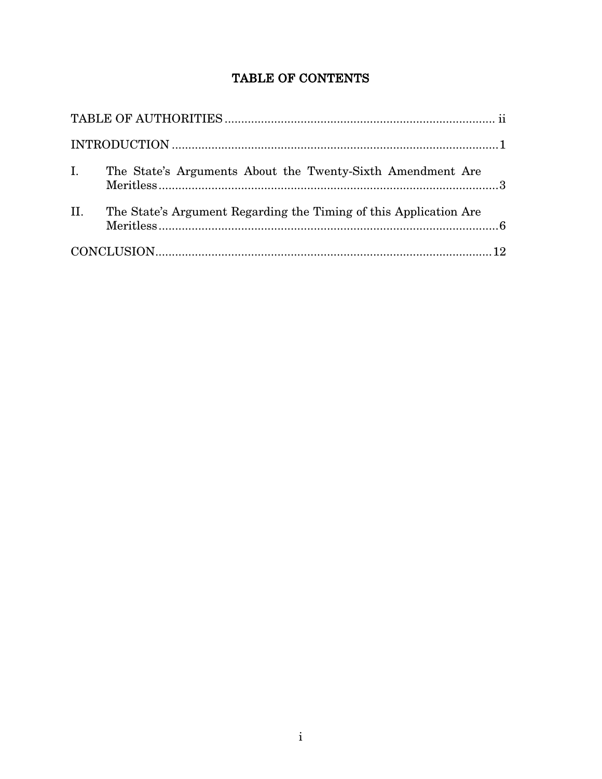# TABLE OF CONTENTS

| I.<br>The State's Arguments About the Twenty-Sixth Amendment Are         |  |
|--------------------------------------------------------------------------|--|
| II.<br>The State's Argument Regarding the Timing of this Application Are |  |
|                                                                          |  |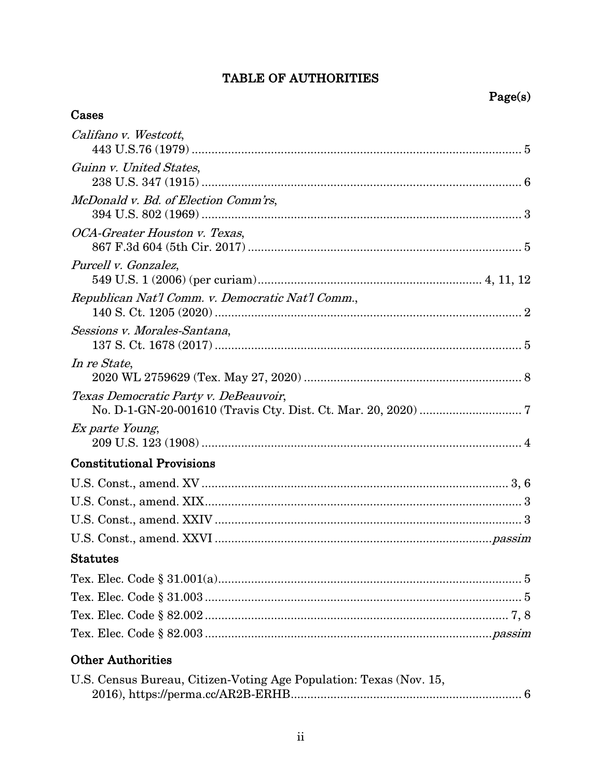# TABLE OF AUTHORITIES

## Cases

| Califano v. Westcott,                             |
|---------------------------------------------------|
| Guinn v. United States,                           |
| McDonald v. Bd. of Election Comm'rs,              |
| OCA-Greater Houston v. Texas,                     |
| Purcell v. Gonzalez,                              |
| Republican Nat'l Comm. v. Democratic Nat'l Comm., |
| Sessions v. Morales-Santana,                      |
| In re State,                                      |
| Texas Democratic Party v. DeBeauvoir,             |
| <i>Ex parte Young,</i>                            |
| <b>Constitutional Provisions</b>                  |
|                                                   |
|                                                   |
|                                                   |
|                                                   |
| <b>Statutes</b>                                   |
|                                                   |
|                                                   |
|                                                   |
|                                                   |
| <b>Other Authorities</b>                          |

| U.S. Census Bureau, Citizen-Voting Age Population: Texas (Nov. 15, |  |
|--------------------------------------------------------------------|--|
|                                                                    |  |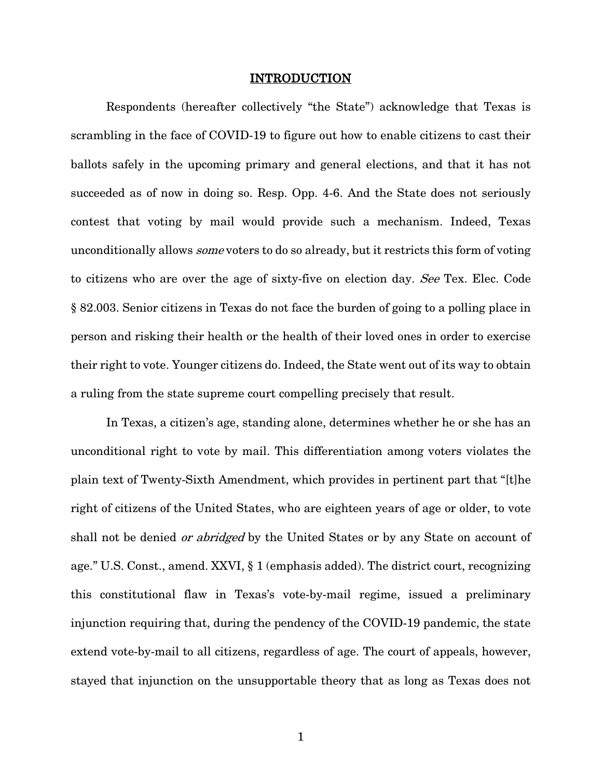#### <span id="page-3-0"></span>INTRODUCTION

Respondents (hereafter collectively "the State") acknowledge that Texas is scrambling in the face of COVID-19 to figure out how to enable citizens to cast their ballots safely in the upcoming primary and general elections, and that it has not succeeded as of now in doing so. Resp. Opp. 4-6. And the State does not seriously contest that voting by mail would provide such a mechanism. Indeed, Texas unconditionally allows some voters to do so already, but it restricts this form of voting to citizens who are over the age of sixty-five on election day. See Tex. Elec. Code § 82.003. Senior citizens in Texas do not face the burden of going to a polling place in person and risking their health or the health of their loved ones in order to exercise their right to vote. Younger citizens do. Indeed, the State went out of its way to obtain a ruling from the state supreme court compelling precisely that result.

In Texas, a citizen's age, standing alone, determines whether he or she has an unconditional right to vote by mail. This differentiation among voters violates the plain text of Twenty-Sixth Amendment, which provides in pertinent part that "[t]he right of citizens of the United States, who are eighteen years of age or older, to vote shall not be denied *or abridged* by the United States or by any State on account of age." U.S. Const., amend. XXVI, § 1 (emphasis added). The district court, recognizing this constitutional flaw in Texas's vote-by-mail regime, issued a preliminary injunction requiring that, during the pendency of the COVID-19 pandemic, the state extend vote-by-mail to all citizens, regardless of age. The court of appeals, however, stayed that injunction on the unsupportable theory that as long as Texas does not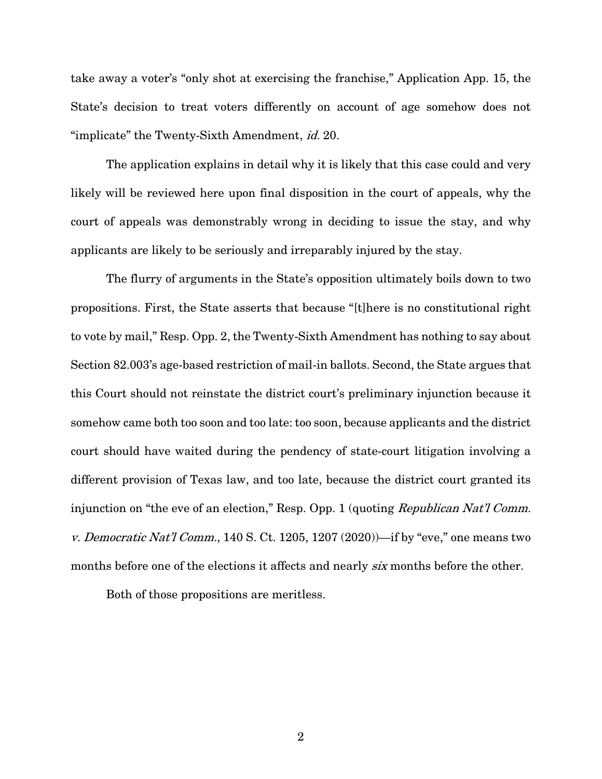take away a voter's "only shot at exercising the franchise," Application App. 15, the State's decision to treat voters differently on account of age somehow does not "implicate" the Twenty-Sixth Amendment, id. 20.

The application explains in detail why it is likely that this case could and very likely will be reviewed here upon final disposition in the court of appeals, why the court of appeals was demonstrably wrong in deciding to issue the stay, and why applicants are likely to be seriously and irreparably injured by the stay.

The flurry of arguments in the State's opposition ultimately boils down to two propositions. First, the State asserts that because "[t]here is no constitutional right to vote by mail," Resp. Opp. 2, the Twenty-Sixth Amendment has nothing to say about Section 82.003's age-based restriction of mail-in ballots. Second, the State argues that this Court should not reinstate the district court's preliminary injunction because it somehow came both too soon and too late: too soon, because applicants and the district court should have waited during the pendency of state-court litigation involving a different provision of Texas law, and too late, because the district court granted its injunction on "the eve of an election," Resp. Opp. 1 (quoting *Republican Nat'l Comm.* v. Democratic Nat'l Comm., 140 S. Ct. 1205, 1207 (2020))—if by "eve," one means two months before one of the elections it affects and nearly six months before the other.

<span id="page-4-0"></span>Both of those propositions are meritless.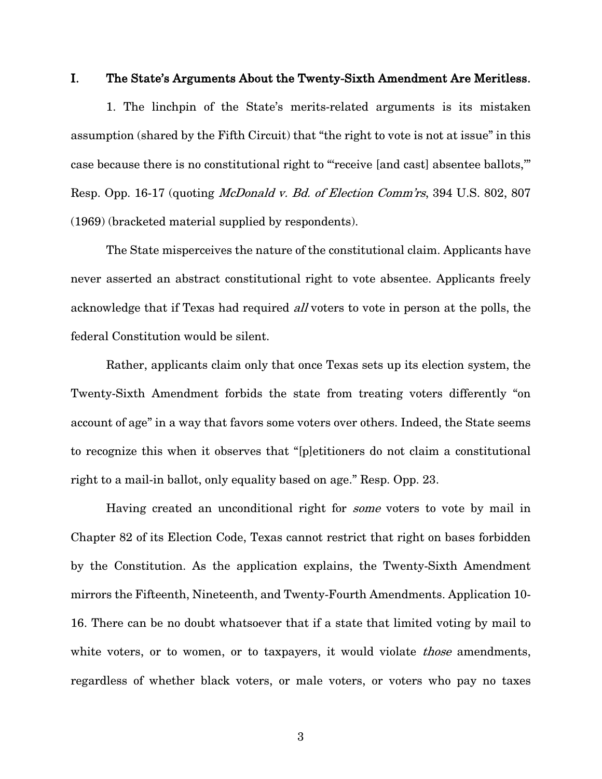### I. The State's Arguments About the Twenty-Sixth Amendment Are Meritless.

1. The linchpin of the State's merits-related arguments is its mistaken assumption (shared by the Fifth Circuit) that "the right to vote is not at issue" in this case because there is no constitutional right to "'receive [and cast] absentee ballots,'" Resp. Opp. 16-17 (quoting McDonald v. Bd. of Election Comm'rs, 394 U.S. 802, 807 (1969) (bracketed material supplied by respondents).

<span id="page-5-0"></span>The State misperceives the nature of the constitutional claim. Applicants have never asserted an abstract constitutional right to vote absentee. Applicants freely acknowledge that if Texas had required *all* voters to vote in person at the polls, the federal Constitution would be silent.

Rather, applicants claim only that once Texas sets up its election system, the Twenty-Sixth Amendment forbids the state from treating voters differently "on account of age" in a way that favors some voters over others. Indeed, the State seems to recognize this when it observes that "[p]etitioners do not claim a constitutional right to a mail-in ballot, only equality based on age." Resp. Opp. 23.

Having created an unconditional right for some voters to vote by mail in Chapter 82 of its Election Code, Texas cannot restrict that right on bases forbidden by the Constitution. As the application explains, the Twenty-Sixth Amendment mirrors the Fifteenth, Nineteenth, and Twenty-Fourth Amendments. Application 10- 16. There can be no doubt whatsoever that if a state that limited voting by mail to white voters, or to women, or to taxpayers, it would violate *those* amendments, regardless of whether black voters, or male voters, or voters who pay no taxes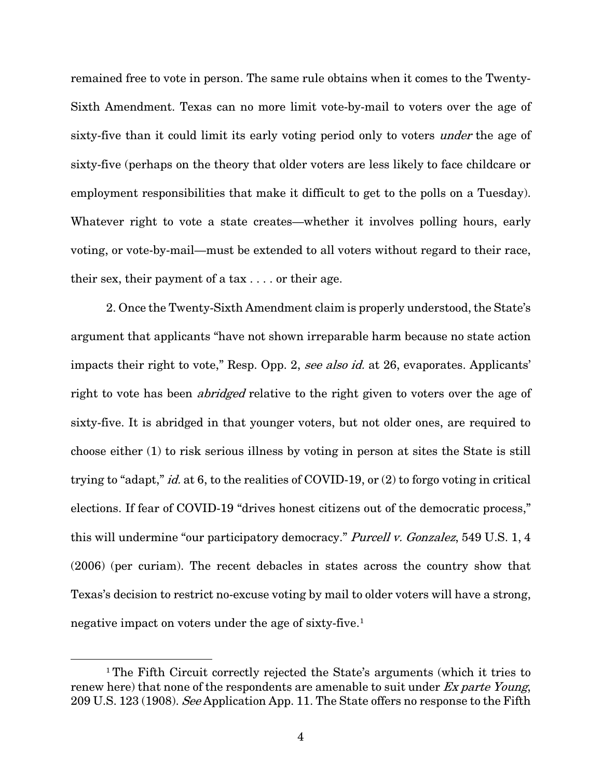remained free to vote in person. The same rule obtains when it comes to the Twenty-Sixth Amendment. Texas can no more limit vote-by-mail to voters over the age of sixty-five than it could limit its early voting period only to voters under the age of sixty-five (perhaps on the theory that older voters are less likely to face childcare or employment responsibilities that make it difficult to get to the polls on a Tuesday). Whatever right to vote a state creates—whether it involves polling hours, early voting, or vote-by-mail—must be extended to all voters without regard to their race, their sex, their payment of a tax . . . . or their age.

2. Once the Twenty-Sixth Amendment claim is properly understood, the State's argument that applicants "have not shown irreparable harm because no state action impacts their right to vote," Resp. Opp. 2, see also id. at 26, evaporates. Applicants' right to vote has been *abridged* relative to the right given to voters over the age of sixty-five. It is abridged in that younger voters, but not older ones, are required to choose either (1) to risk serious illness by voting in person at sites the State is still trying to "adapt," id. at 6, to the realities of COVID-19, or (2) to forgo voting in critical elections. If fear of COVID-19 "drives honest citizens out of the democratic process," this will undermine "our participatory democracy." Purcell v. Gonzalez, 549 U.S. 1, 4 (2006) (per curiam). The recent debacles in states across the country show that Texas's decision to restrict no-excuse voting by mail to older voters will have a strong, negative impact on voters under the age of sixty-five.[1](#page-6-2)

<span id="page-6-2"></span><span id="page-6-1"></span><span id="page-6-0"></span><sup>&</sup>lt;sup>1</sup>The Fifth Circuit correctly rejected the State's arguments (which it tries to renew here) that none of the respondents are amenable to suit under Ex parte Young, 209 U.S. 123 (1908). See Application App. 11. The State offers no response to the Fifth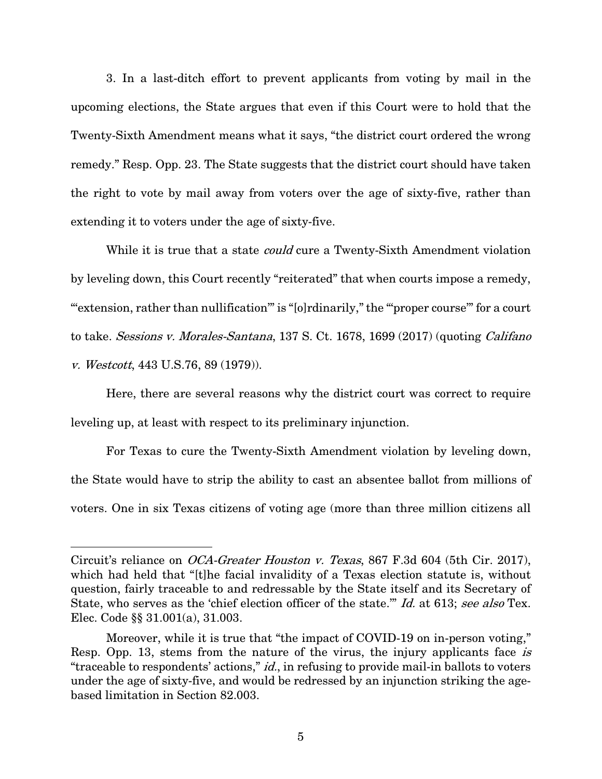3. In a last-ditch effort to prevent applicants from voting by mail in the upcoming elections, the State argues that even if this Court were to hold that the Twenty-Sixth Amendment means what it says, "the district court ordered the wrong remedy." Resp. Opp. 23. The State suggests that the district court should have taken the right to vote by mail away from voters over the age of sixty-five, rather than extending it to voters under the age of sixty-five.

While it is true that a state *could* cure a Twenty-Sixth Amendment violation by leveling down, this Court recently "reiterated" that when courts impose a remedy, "extension, rather than nullification" is "[o]rdinarily," the ""proper course" for a court to take. Sessions v. Morales-Santana, 137 S. Ct. 1678, 1699 (2017) (quoting Califano v. Westcott, 443 U.S.76, 89 (1979)).

<span id="page-7-2"></span><span id="page-7-0"></span>Here, there are several reasons why the district court was correct to require leveling up, at least with respect to its preliminary injunction.

For Texas to cure the Twenty-Sixth Amendment violation by leveling down, the State would have to strip the ability to cast an absentee ballot from millions of voters. One in six Texas citizens of voting age (more than three million citizens all

<span id="page-7-1"></span>Circuit's reliance on OCA-Greater Houston v. Texas, 867 F.3d 604 (5th Cir. 2017), which had held that "[t]he facial invalidity of a Texas election statute is, without question, fairly traceable to and redressable by the State itself and its Secretary of State, who serves as the 'chief election officer of the state." Id. at 613; see also Tex. Elec. Code §§ 31.001(a), 31.003.

<span id="page-7-3"></span>Moreover, while it is true that "the impact of COVID-19 on in-person voting," Resp. Opp. 13, stems from the nature of the virus, the injury applicants face is "traceable to respondents' actions," *id.*, in refusing to provide mail-in ballots to voters under the age of sixty-five, and would be redressed by an injunction striking the agebased limitation in Section 82.003.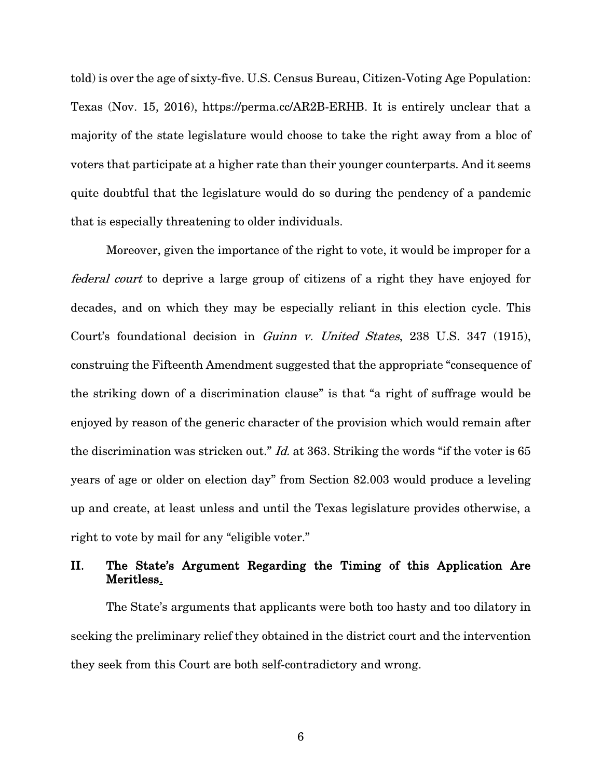<span id="page-8-1"></span>told) is over the age of sixty-five. U.S. Census Bureau, Citizen-Voting Age Population: Texas (Nov. 15, 2016), https://perma.cc/AR2B-ERHB. It is entirely unclear that a majority of the state legislature would choose to take the right away from a bloc of voters that participate at a higher rate than their younger counterparts. And it seems quite doubtful that the legislature would do so during the pendency of a pandemic that is especially threatening to older individuals.

<span id="page-8-0"></span>Moreover, given the importance of the right to vote, it would be improper for a federal court to deprive a large group of citizens of a right they have enjoyed for decades, and on which they may be especially reliant in this election cycle. This Court's foundational decision in Guinn v. United States, 238 U.S. 347 (1915), construing the Fifteenth Amendment suggested that the appropriate "consequence of the striking down of a discrimination clause" is that "a right of suffrage would be enjoyed by reason of the generic character of the provision which would remain after the discrimination was stricken out." *Id.* at 363. Striking the words "if the voter is 65 years of age or older on election day" from Section 82.003 would produce a leveling up and create, at least unless and until the Texas legislature provides otherwise, a right to vote by mail for any "eligible voter."

## II. The State's Argument Regarding the Timing of this Application Are Meritless.

The State's arguments that applicants were both too hasty and too dilatory in seeking the preliminary relief they obtained in the district court and the intervention they seek from this Court are both self-contradictory and wrong.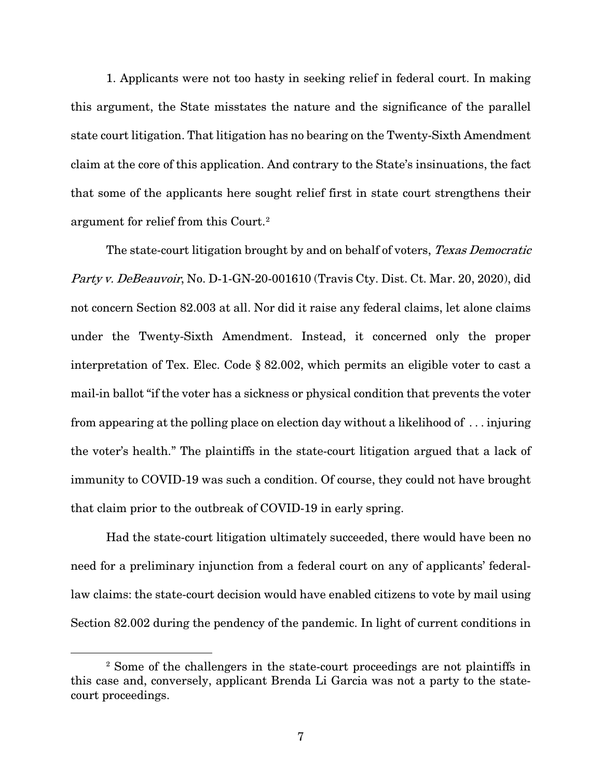1. Applicants were not too hasty in seeking relief in federal court. In making this argument, the State misstates the nature and the significance of the parallel state court litigation. That litigation has no bearing on the Twenty-Sixth Amendment claim at the core of this application. And contrary to the State's insinuations, the fact that some of the applicants here sought relief first in state court strengthens their argument for relief from this Court.[2](#page-9-2)

<span id="page-9-1"></span><span id="page-9-0"></span>The state-court litigation brought by and on behalf of voters, Texas Democratic Party v. DeBeauvoir, No. D-1-GN-20-001610 (Travis Cty. Dist. Ct. Mar. 20, 2020), did not concern Section 82.003 at all. Nor did it raise any federal claims, let alone claims under the Twenty-Sixth Amendment. Instead, it concerned only the proper interpretation of Tex. Elec. Code § 82.002, which permits an eligible voter to cast a mail-in ballot "if the voter has a sickness or physical condition that prevents the voter from appearing at the polling place on election day without a likelihood of . . . injuring the voter's health." The plaintiffs in the state-court litigation argued that a lack of immunity to COVID-19 was such a condition. Of course, they could not have brought that claim prior to the outbreak of COVID-19 in early spring.

Had the state-court litigation ultimately succeeded, there would have been no need for a preliminary injunction from a federal court on any of applicants' federallaw claims: the state-court decision would have enabled citizens to vote by mail using Section 82.002 during the pendency of the pandemic. In light of current conditions in

<span id="page-9-2"></span><sup>2</sup> Some of the challengers in the state-court proceedings are not plaintiffs in this case and, conversely, applicant Brenda Li Garcia was not a party to the statecourt proceedings.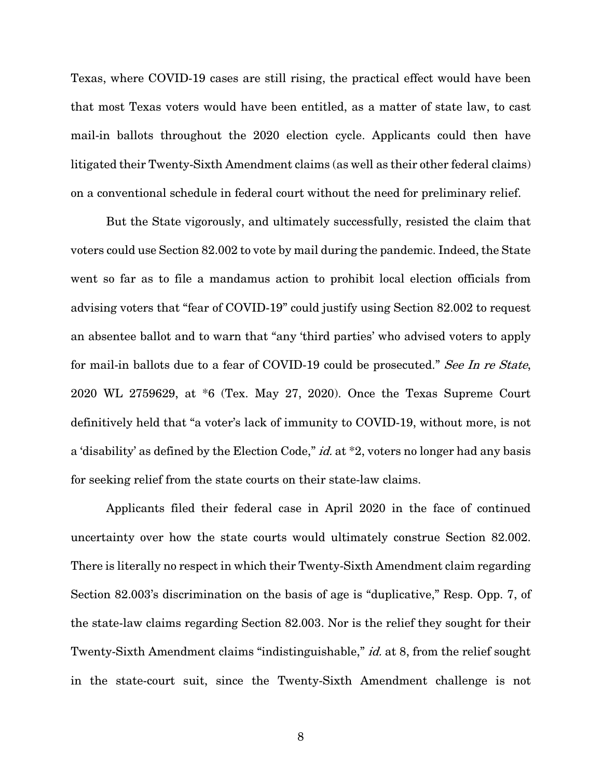Texas, where COVID-19 cases are still rising, the practical effect would have been that most Texas voters would have been entitled, as a matter of state law, to cast mail-in ballots throughout the 2020 election cycle. Applicants could then have litigated their Twenty-Sixth Amendment claims (as well as their other federal claims) on a conventional schedule in federal court without the need for preliminary relief.

<span id="page-10-1"></span><span id="page-10-0"></span>But the State vigorously, and ultimately successfully, resisted the claim that voters could use Section 82.002 to vote by mail during the pandemic. Indeed, the State went so far as to file a mandamus action to prohibit local election officials from advising voters that "fear of COVID-19" could justify using Section 82.002 to request an absentee ballot and to warn that "any 'third parties' who advised voters to apply for mail-in ballots due to a fear of COVID-19 could be prosecuted." See In re State, 2020 WL 2759629, at \*6 (Tex. May 27, 2020). Once the Texas Supreme Court definitively held that "a voter's lack of immunity to COVID-19, without more, is not a 'disability' as defined by the Election Code," *id.* at  $*2$ , voters no longer had any basis for seeking relief from the state courts on their state-law claims.

Applicants filed their federal case in April 2020 in the face of continued uncertainty over how the state courts would ultimately construe Section 82.002. There is literally no respect in which their Twenty-Sixth Amendment claim regarding Section 82.003's discrimination on the basis of age is "duplicative," Resp. Opp. 7, of the state-law claims regarding Section 82.003. Nor is the relief they sought for their Twenty-Sixth Amendment claims "indistinguishable," *id.* at 8, from the relief sought in the state-court suit, since the Twenty-Sixth Amendment challenge is not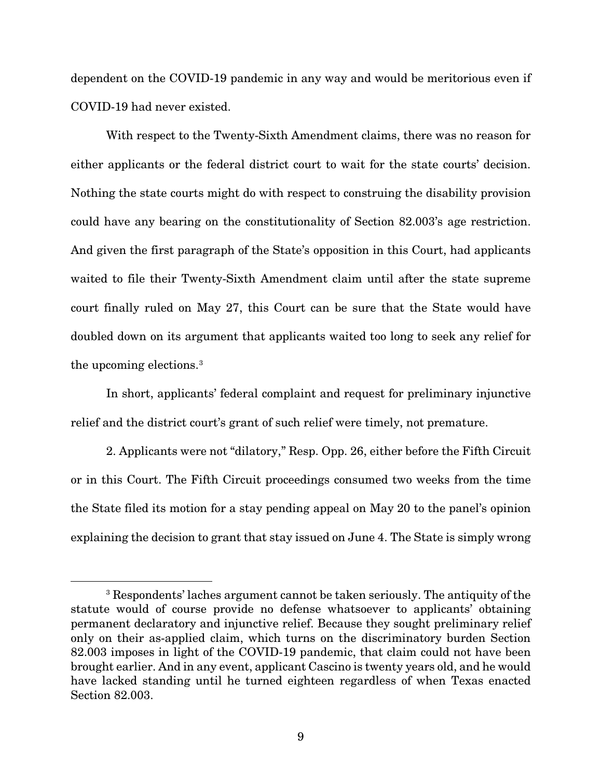dependent on the COVID-19 pandemic in any way and would be meritorious even if COVID-19 had never existed.

With respect to the Twenty-Sixth Amendment claims, there was no reason for either applicants or the federal district court to wait for the state courts' decision. Nothing the state courts might do with respect to construing the disability provision could have any bearing on the constitutionality of Section 82.003's age restriction. And given the first paragraph of the State's opposition in this Court, had applicants waited to file their Twenty-Sixth Amendment claim until after the state supreme court finally ruled on May 27, this Court can be sure that the State would have doubled down on its argument that applicants waited too long to seek any relief for the upcoming elections.[3](#page-11-0)

In short, applicants' federal complaint and request for preliminary injunctive relief and the district court's grant of such relief were timely, not premature.

2. Applicants were not "dilatory," Resp. Opp. 26, either before the Fifth Circuit or in this Court. The Fifth Circuit proceedings consumed two weeks from the time the State filed its motion for a stay pending appeal on May 20 to the panel's opinion explaining the decision to grant that stay issued on June 4. The State is simply wrong

<span id="page-11-0"></span><sup>3</sup> Respondents' laches argument cannot be taken seriously. The antiquity of the statute would of course provide no defense whatsoever to applicants' obtaining permanent declaratory and injunctive relief. Because they sought preliminary relief only on their as-applied claim, which turns on the discriminatory burden Section 82.003 imposes in light of the COVID-19 pandemic, that claim could not have been brought earlier. And in any event, applicant Cascino is twenty years old, and he would have lacked standing until he turned eighteen regardless of when Texas enacted Section 82.003.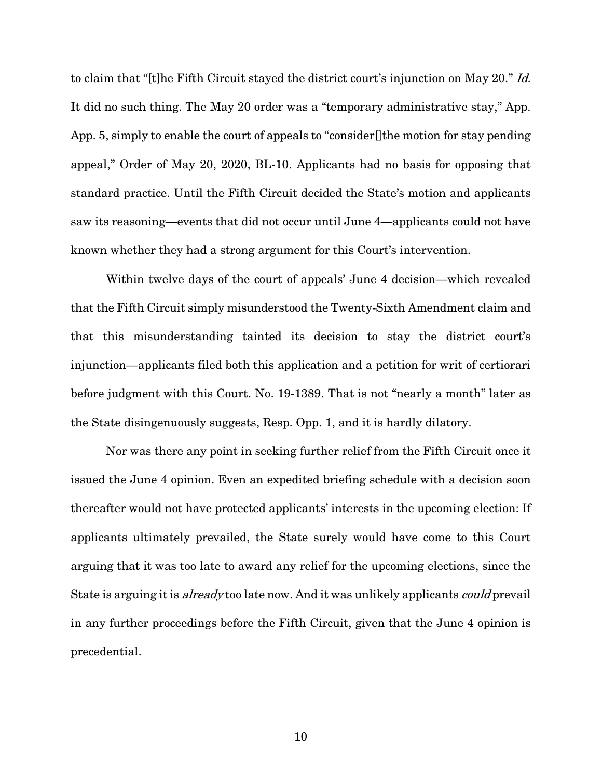to claim that "[t]he Fifth Circuit stayed the district court's injunction on May 20." Id. It did no such thing. The May 20 order was a "temporary administrative stay," App. App. 5, simply to enable the court of appeals to "consider[]the motion for stay pending appeal," Order of May 20, 2020, BL-10. Applicants had no basis for opposing that standard practice. Until the Fifth Circuit decided the State's motion and applicants saw its reasoning—events that did not occur until June 4—applicants could not have known whether they had a strong argument for this Court's intervention.

Within twelve days of the court of appeals' June 4 decision—which revealed that the Fifth Circuit simply misunderstood the Twenty-Sixth Amendment claim and that this misunderstanding tainted its decision to stay the district court's injunction—applicants filed both this application and a petition for writ of certiorari before judgment with this Court. No. 19-1389. That is not "nearly a month" later as the State disingenuously suggests, Resp. Opp. 1, and it is hardly dilatory.

Nor was there any point in seeking further relief from the Fifth Circuit once it issued the June 4 opinion. Even an expedited briefing schedule with a decision soon thereafter would not have protected applicants' interests in the upcoming election: If applicants ultimately prevailed, the State surely would have come to this Court arguing that it was too late to award any relief for the upcoming elections, since the State is arguing it is *already* too late now. And it was unlikely applicants *could* prevail in any further proceedings before the Fifth Circuit, given that the June 4 opinion is precedential.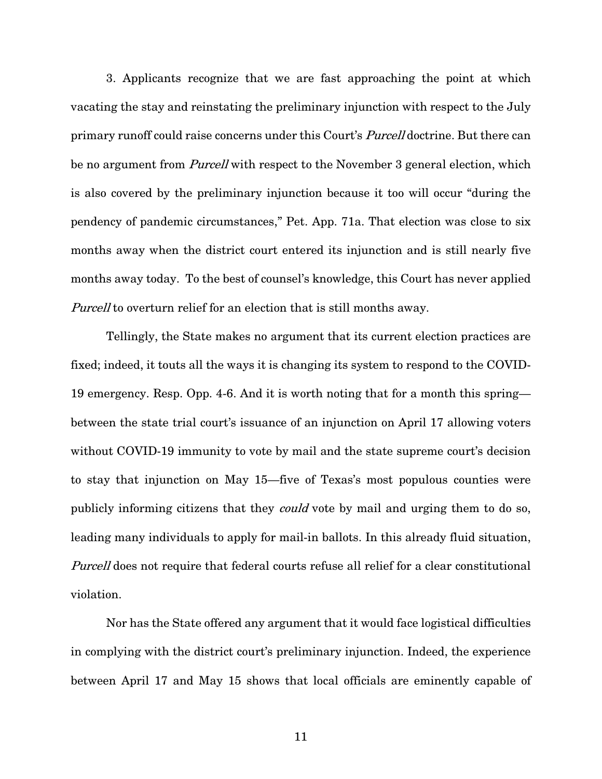<span id="page-13-0"></span>3. Applicants recognize that we are fast approaching the point at which vacating the stay and reinstating the preliminary injunction with respect to the July primary runoff could raise concerns under this Court's *Purcell* doctrine. But there can be no argument from *Purcell* with respect to the November 3 general election, which is also covered by the preliminary injunction because it too will occur "during the pendency of pandemic circumstances," Pet. App. 71a. That election was close to six months away when the district court entered its injunction and is still nearly five months away today. To the best of counsel's knowledge, this Court has never applied Purcell to overturn relief for an election that is still months away.

Tellingly, the State makes no argument that its current election practices are fixed; indeed, it touts all the ways it is changing its system to respond to the COVID-19 emergency. Resp. Opp. 4-6. And it is worth noting that for a month this spring between the state trial court's issuance of an injunction on April 17 allowing voters without COVID-19 immunity to vote by mail and the state supreme court's decision to stay that injunction on May 15—five of Texas's most populous counties were publicly informing citizens that they could vote by mail and urging them to do so, leading many individuals to apply for mail-in ballots. In this already fluid situation, Purcell does not require that federal courts refuse all relief for a clear constitutional violation.

Nor has the State offered any argument that it would face logistical difficulties in complying with the district court's preliminary injunction. Indeed, the experience between April 17 and May 15 shows that local officials are eminently capable of

11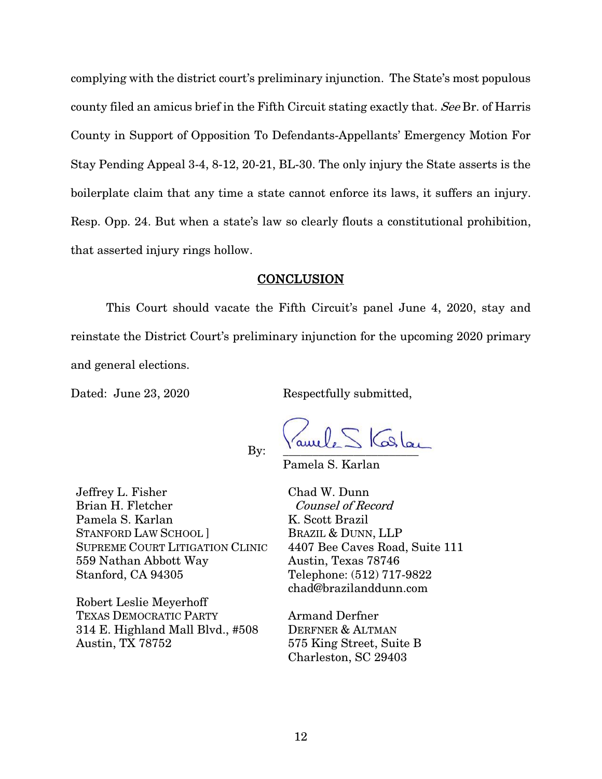complying with the district court's preliminary injunction. The State's most populous county filed an amicus brief in the Fifth Circuit stating exactly that. See Br. of Harris County in Support of Opposition To Defendants-Appellants' Emergency Motion For Stay Pending Appeal 3-4, 8-12, 20-21, BL-30. The only injury the State asserts is the boilerplate claim that any time a state cannot enforce its laws, it suffers an injury. Resp. Opp. 24. But when a state's law so clearly flouts a constitutional prohibition, that asserted injury rings hollow.

### **CONCLUSION**

This Court should vacate the Fifth Circuit's panel June 4, 2020, stay and reinstate the District Court's preliminary injunction for the upcoming 2020 primary and general elections.

Dated: June 23, 2020 Respectfully submitted,

By:  $\frac{1}{2}$   $\frac{1}{2}$   $\frac{1}{2}$   $\frac{1}{2}$   $\frac{1}{2}$   $\frac{1}{2}$ 

Pamela S. Karlan

Jeffrey L. Fisher Brian H. Fletcher Pamela S. Karlan STANFORD LAW SCHOOL ] SUPREME COURT LITIGATION CLINIC 559 Nathan Abbott Way Stanford, CA 94305

Robert Leslie Meyerhoff TEXAS DEMOCRATIC PARTY 314 E. Highland Mall Blvd., #508 Austin, TX 78752

Chad W. Dunn Counsel of Record K. Scott Brazil BRAZIL & DUNN, LLP 4407 Bee Caves Road, Suite 111 Austin, Texas 78746 Telephone: (512) 717-9822 chad@brazilanddunn.com

Armand Derfner DERFNER & ALTMAN 575 King Street, Suite B Charleston, SC 29403